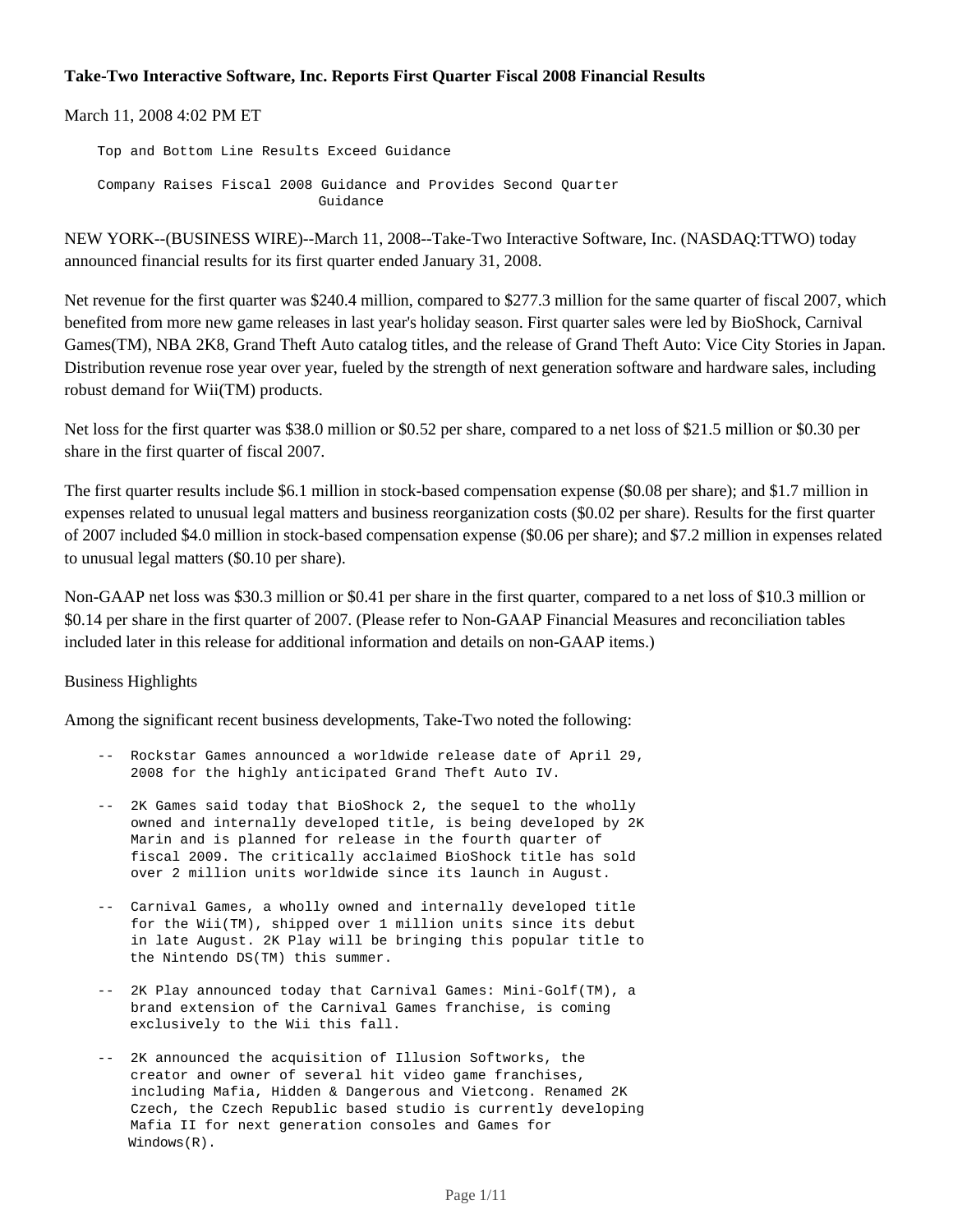## **Take-Two Interactive Software, Inc. Reports First Quarter Fiscal 2008 Financial Results**

March 11, 2008 4:02 PM ET

 Top and Bottom Line Results Exceed Guidance Company Raises Fiscal 2008 Guidance and Provides Second Quarter Guidance

NEW YORK--(BUSINESS WIRE)--March 11, 2008--Take-Two Interactive Software, Inc. (NASDAQ:TTWO) today announced financial results for its first quarter ended January 31, 2008.

Net revenue for the first quarter was \$240.4 million, compared to \$277.3 million for the same quarter of fiscal 2007, which benefited from more new game releases in last year's holiday season. First quarter sales were led by BioShock, Carnival Games(TM), NBA 2K8, Grand Theft Auto catalog titles, and the release of Grand Theft Auto: Vice City Stories in Japan. Distribution revenue rose year over year, fueled by the strength of next generation software and hardware sales, including robust demand for Wii(TM) products.

Net loss for the first quarter was \$38.0 million or \$0.52 per share, compared to a net loss of \$21.5 million or \$0.30 per share in the first quarter of fiscal 2007.

The first quarter results include \$6.1 million in stock-based compensation expense (\$0.08 per share); and \$1.7 million in expenses related to unusual legal matters and business reorganization costs (\$0.02 per share). Results for the first quarter of 2007 included \$4.0 million in stock-based compensation expense (\$0.06 per share); and \$7.2 million in expenses related to unusual legal matters (\$0.10 per share).

Non-GAAP net loss was \$30.3 million or \$0.41 per share in the first quarter, compared to a net loss of \$10.3 million or \$0.14 per share in the first quarter of 2007. (Please refer to Non-GAAP Financial Measures and reconciliation tables included later in this release for additional information and details on non-GAAP items.)

### Business Highlights

Among the significant recent business developments, Take-Two noted the following:

- -- Rockstar Games announced a worldwide release date of April 29, 2008 for the highly anticipated Grand Theft Auto IV.
- -- 2K Games said today that BioShock 2, the sequel to the wholly owned and internally developed title, is being developed by 2K Marin and is planned for release in the fourth quarter of fiscal 2009. The critically acclaimed BioShock title has sold over 2 million units worldwide since its launch in August.
- -- Carnival Games, a wholly owned and internally developed title for the Wii(TM), shipped over 1 million units since its debut in late August. 2K Play will be bringing this popular title to the Nintendo DS(TM) this summer.
- -- 2K Play announced today that Carnival Games: Mini-Golf(TM), a brand extension of the Carnival Games franchise, is coming exclusively to the Wii this fall.
- -- 2K announced the acquisition of Illusion Softworks, the creator and owner of several hit video game franchises, including Mafia, Hidden & Dangerous and Vietcong. Renamed 2K Czech, the Czech Republic based studio is currently developing Mafia II for next generation consoles and Games for Windows(R).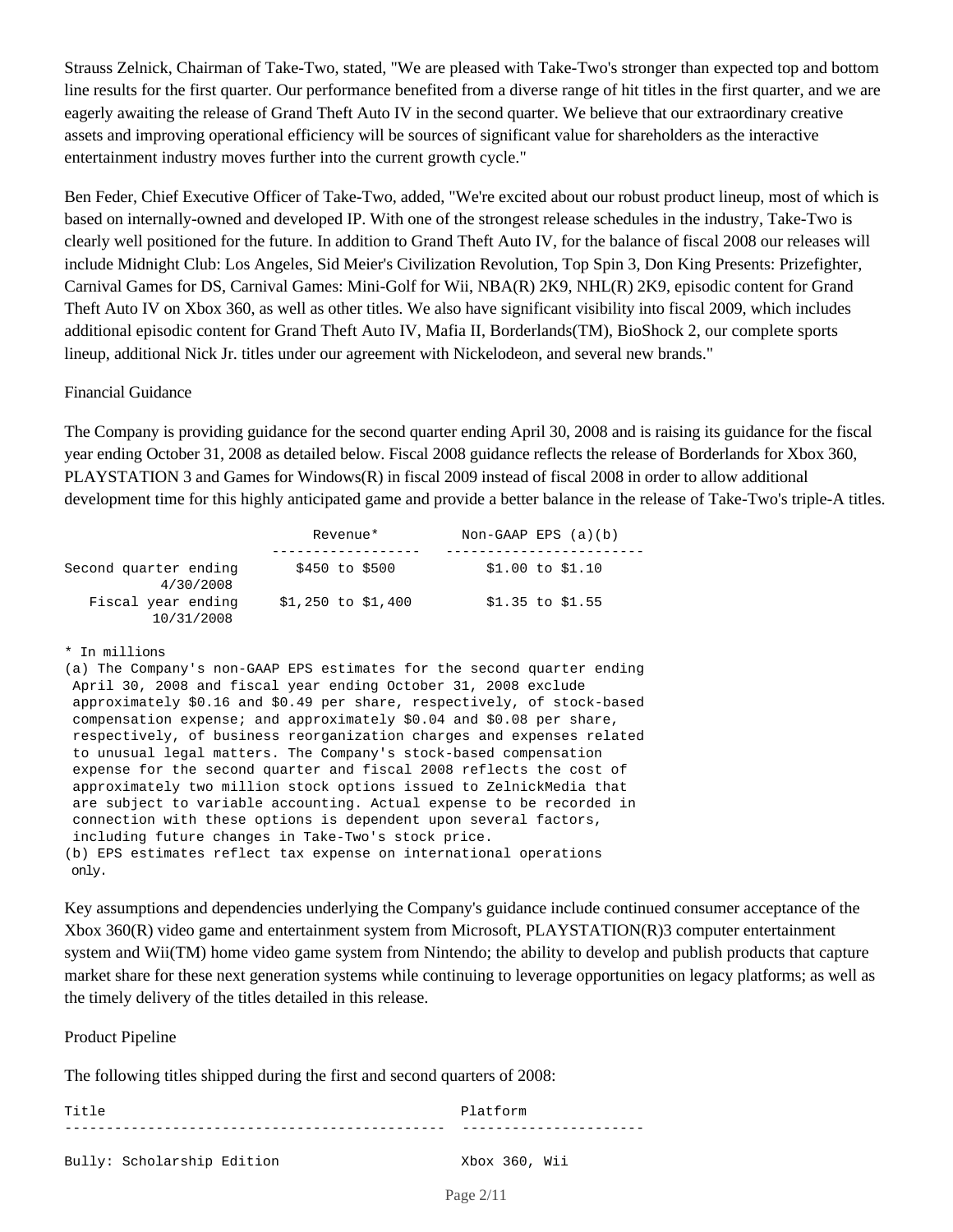Strauss Zelnick, Chairman of Take-Two, stated, "We are pleased with Take-Two's stronger than expected top and bottom line results for the first quarter. Our performance benefited from a diverse range of hit titles in the first quarter, and we are eagerly awaiting the release of Grand Theft Auto IV in the second quarter. We believe that our extraordinary creative assets and improving operational efficiency will be sources of significant value for shareholders as the interactive entertainment industry moves further into the current growth cycle."

Ben Feder, Chief Executive Officer of Take-Two, added, "We're excited about our robust product lineup, most of which is based on internally-owned and developed IP. With one of the strongest release schedules in the industry, Take-Two is clearly well positioned for the future. In addition to Grand Theft Auto IV, for the balance of fiscal 2008 our releases will include Midnight Club: Los Angeles, Sid Meier's Civilization Revolution, Top Spin 3, Don King Presents: Prizefighter, Carnival Games for DS, Carnival Games: Mini-Golf for Wii, NBA(R) 2K9, NHL(R) 2K9, episodic content for Grand Theft Auto IV on Xbox 360, as well as other titles. We also have significant visibility into fiscal 2009, which includes additional episodic content for Grand Theft Auto IV, Mafia II, Borderlands(TM), BioShock 2, our complete sports lineup, additional Nick Jr. titles under our agreement with Nickelodeon, and several new brands."

### Financial Guidance

The Company is providing guidance for the second quarter ending April 30, 2008 and is raising its guidance for the fiscal year ending October 31, 2008 as detailed below. Fiscal 2008 guidance reflects the release of Borderlands for Xbox 360, PLAYSTATION 3 and Games for Windows(R) in fiscal 2009 instead of fiscal 2008 in order to allow additional development time for this highly anticipated game and provide a better balance in the release of Take-Two's triple-A titles.

|                                    | Revenue*             | Non-GAAP EPS $(a)(b)$ |
|------------------------------------|----------------------|-----------------------|
|                                    |                      |                       |
| Second quarter ending<br>4/30/2008 | \$450 to \$500       | $$1.00$ to $$1.10$    |
| Fiscal year ending<br>10/31/2008   | $$1,250$ to $$1,400$ | $$1.35$ to $$1.55$    |

#### \* In millions

(a) The Company's non-GAAP EPS estimates for the second quarter ending April 30, 2008 and fiscal year ending October 31, 2008 exclude approximately \$0.16 and \$0.49 per share, respectively, of stock-based compensation expense; and approximately \$0.04 and \$0.08 per share, respectively, of business reorganization charges and expenses related to unusual legal matters. The Company's stock-based compensation expense for the second quarter and fiscal 2008 reflects the cost of approximately two million stock options issued to ZelnickMedia that are subject to variable accounting. Actual expense to be recorded in connection with these options is dependent upon several factors, including future changes in Take-Two's stock price. (b) EPS estimates reflect tax expense on international operations only.

Key assumptions and dependencies underlying the Company's guidance include continued consumer acceptance of the Xbox 360(R) video game and entertainment system from Microsoft, PLAYSTATION(R)3 computer entertainment system and Wii(TM) home video game system from Nintendo; the ability to develop and publish products that capture market share for these next generation systems while continuing to leverage opportunities on legacy platforms; as well as the timely delivery of the titles detailed in this release.

### Product Pipeline

The following titles shipped during the first and second quarters of 2008:

Title Platform ---------------------------------------------- ----------------------Bully: Scholarship Edition Xbox 360, Wii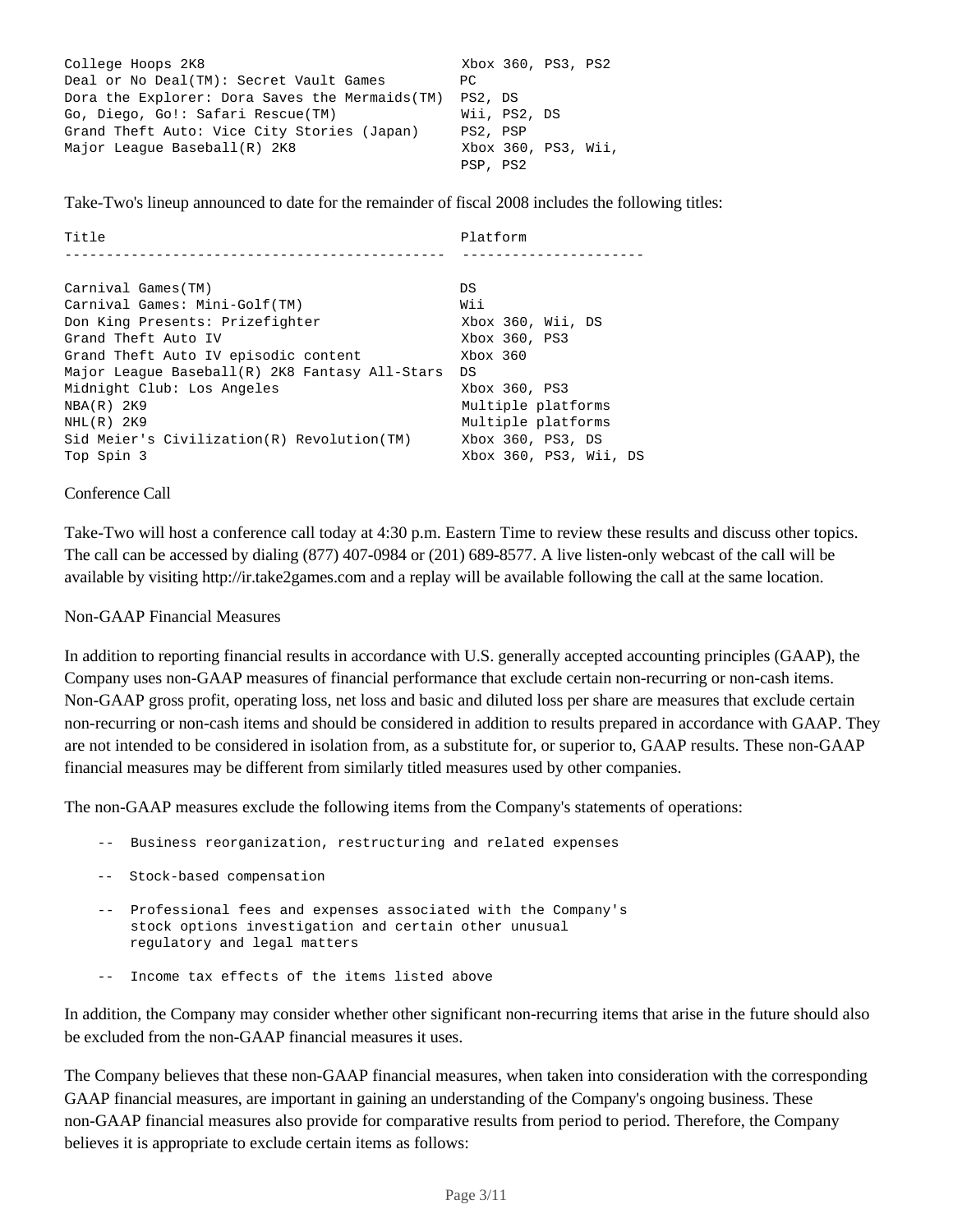| College Hoops 2K8                               |          |              | Xbox 360, PS3, PS2  |  |
|-------------------------------------------------|----------|--------------|---------------------|--|
| Deal or No Deal(TM): Secret Vault Games         | PC.      |              |                     |  |
| Dora the Explorer: Dora Saves the Mermaids (TM) | PS2, DS  |              |                     |  |
| Go, Diego, Go!: Safari Rescue(TM)               |          | Wii, PS2, DS |                     |  |
| Grand Theft Auto: Vice City Stories (Japan)     | PS2, PSP |              |                     |  |
| Major League Baseball(R) 2K8                    |          |              | Xbox 360, PS3, Wii, |  |
|                                                 | PSP, PS2 |              |                     |  |

Take-Two's lineup announced to date for the remainder of fiscal 2008 includes the following titles:

| Title                                          | Platform               |
|------------------------------------------------|------------------------|
|                                                |                        |
|                                                |                        |
| Carnival Games(TM)                             | DS                     |
| Carnival Games: Mini-Golf(TM)                  | Wii                    |
| Don King Presents: Prizefighter                | Xbox 360, Wii, DS      |
| Grand Theft Auto IV                            | Xbox 360, PS3          |
| Grand Theft Auto IV episodic content           | Xbox 360               |
| Major League Baseball(R) 2K8 Fantasy All-Stars | DS                     |
| Midnight Club: Los Angeles                     | Xbox 360, PS3          |
| $NBA(R)$ 2K9                                   | Multiple platforms     |
| $NHL(R)$ 2K9                                   | Multiple platforms     |
| Sid Meier's Civilization(R) Revolution(TM)     | Xbox 360, PS3, DS      |
| Top Spin 3                                     | Xbox 360, PS3, Wii, DS |

### Conference Call

Take-Two will host a conference call today at 4:30 p.m. Eastern Time to review these results and discuss other topics. The call can be accessed by dialing (877) 407-0984 or (201) 689-8577. A live listen-only webcast of the call will be available by visiting http://ir.take2games.com and a replay will be available following the call at the same location.

### Non-GAAP Financial Measures

In addition to reporting financial results in accordance with U.S. generally accepted accounting principles (GAAP), the Company uses non-GAAP measures of financial performance that exclude certain non-recurring or non-cash items. Non-GAAP gross profit, operating loss, net loss and basic and diluted loss per share are measures that exclude certain non-recurring or non-cash items and should be considered in addition to results prepared in accordance with GAAP. They are not intended to be considered in isolation from, as a substitute for, or superior to, GAAP results. These non-GAAP financial measures may be different from similarly titled measures used by other companies.

The non-GAAP measures exclude the following items from the Company's statements of operations:

- -- Business reorganization, restructuring and related expenses
- -- Stock-based compensation
- -- Professional fees and expenses associated with the Company's stock options investigation and certain other unusual regulatory and legal matters
- -- Income tax effects of the items listed above

In addition, the Company may consider whether other significant non-recurring items that arise in the future should also be excluded from the non-GAAP financial measures it uses.

The Company believes that these non-GAAP financial measures, when taken into consideration with the corresponding GAAP financial measures, are important in gaining an understanding of the Company's ongoing business. These non-GAAP financial measures also provide for comparative results from period to period. Therefore, the Company believes it is appropriate to exclude certain items as follows: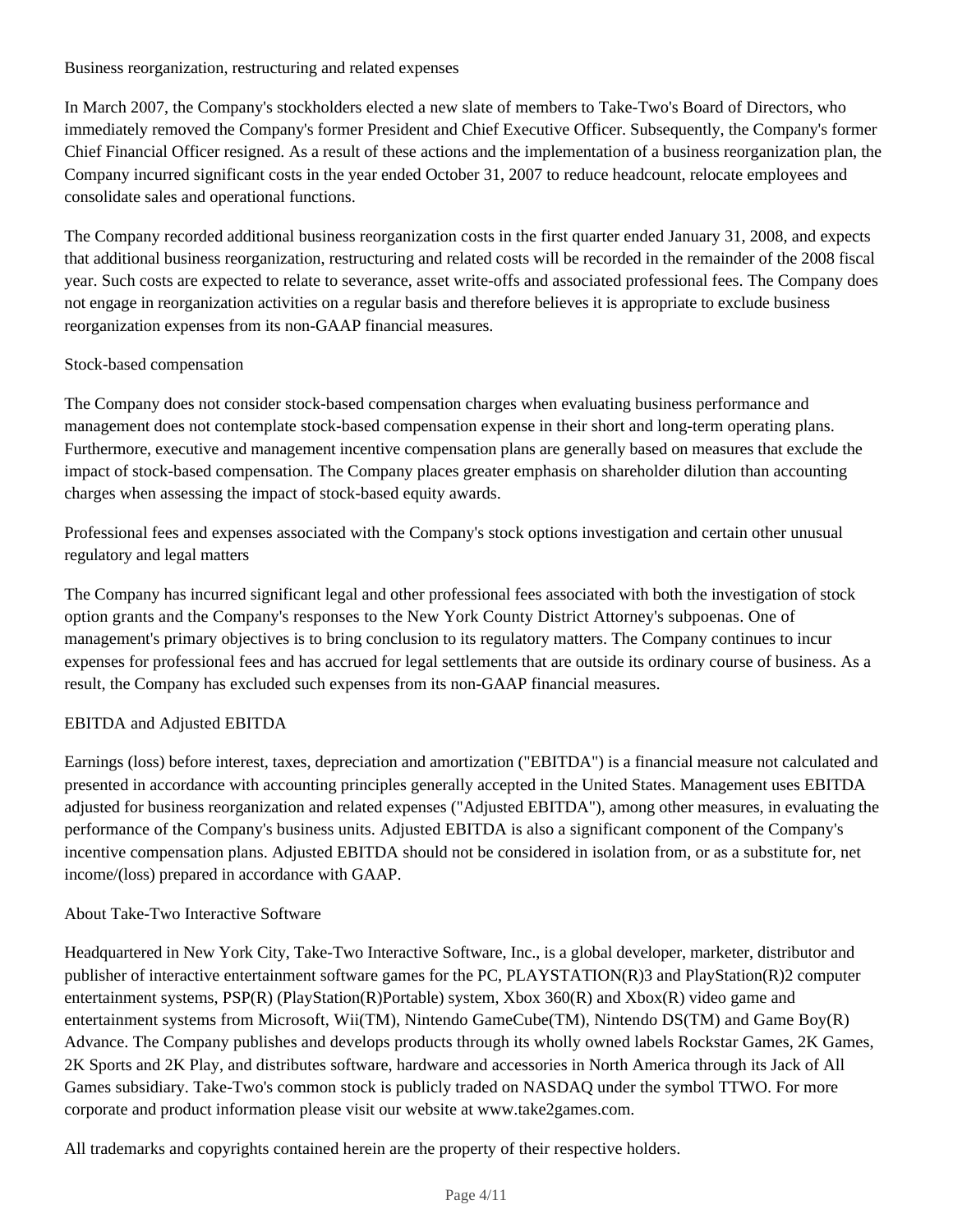# Business reorganization, restructuring and related expenses

In March 2007, the Company's stockholders elected a new slate of members to Take-Two's Board of Directors, who immediately removed the Company's former President and Chief Executive Officer. Subsequently, the Company's former Chief Financial Officer resigned. As a result of these actions and the implementation of a business reorganization plan, the Company incurred significant costs in the year ended October 31, 2007 to reduce headcount, relocate employees and consolidate sales and operational functions.

The Company recorded additional business reorganization costs in the first quarter ended January 31, 2008, and expects that additional business reorganization, restructuring and related costs will be recorded in the remainder of the 2008 fiscal year. Such costs are expected to relate to severance, asset write-offs and associated professional fees. The Company does not engage in reorganization activities on a regular basis and therefore believes it is appropriate to exclude business reorganization expenses from its non-GAAP financial measures.

## Stock-based compensation

The Company does not consider stock-based compensation charges when evaluating business performance and management does not contemplate stock-based compensation expense in their short and long-term operating plans. Furthermore, executive and management incentive compensation plans are generally based on measures that exclude the impact of stock-based compensation. The Company places greater emphasis on shareholder dilution than accounting charges when assessing the impact of stock-based equity awards.

Professional fees and expenses associated with the Company's stock options investigation and certain other unusual regulatory and legal matters

The Company has incurred significant legal and other professional fees associated with both the investigation of stock option grants and the Company's responses to the New York County District Attorney's subpoenas. One of management's primary objectives is to bring conclusion to its regulatory matters. The Company continues to incur expenses for professional fees and has accrued for legal settlements that are outside its ordinary course of business. As a result, the Company has excluded such expenses from its non-GAAP financial measures.

# EBITDA and Adjusted EBITDA

Earnings (loss) before interest, taxes, depreciation and amortization ("EBITDA") is a financial measure not calculated and presented in accordance with accounting principles generally accepted in the United States. Management uses EBITDA adjusted for business reorganization and related expenses ("Adjusted EBITDA"), among other measures, in evaluating the performance of the Company's business units. Adjusted EBITDA is also a significant component of the Company's incentive compensation plans. Adjusted EBITDA should not be considered in isolation from, or as a substitute for, net income/(loss) prepared in accordance with GAAP.

## About Take-Two Interactive Software

Headquartered in New York City, Take-Two Interactive Software, Inc., is a global developer, marketer, distributor and publisher of interactive entertainment software games for the PC, PLAYSTATION(R)3 and PlayStation(R)2 computer entertainment systems, PSP(R) (PlayStation(R)Portable) system, Xbox 360(R) and Xbox(R) video game and entertainment systems from Microsoft, Wii(TM), Nintendo GameCube(TM), Nintendo DS(TM) and Game Boy(R) Advance. The Company publishes and develops products through its wholly owned labels Rockstar Games, 2K Games, 2K Sports and 2K Play, and distributes software, hardware and accessories in North America through its Jack of All Games subsidiary. Take-Two's common stock is publicly traded on NASDAQ under the symbol TTWO. For more corporate and product information please visit our website at www.take2games.com.

All trademarks and copyrights contained herein are the property of their respective holders.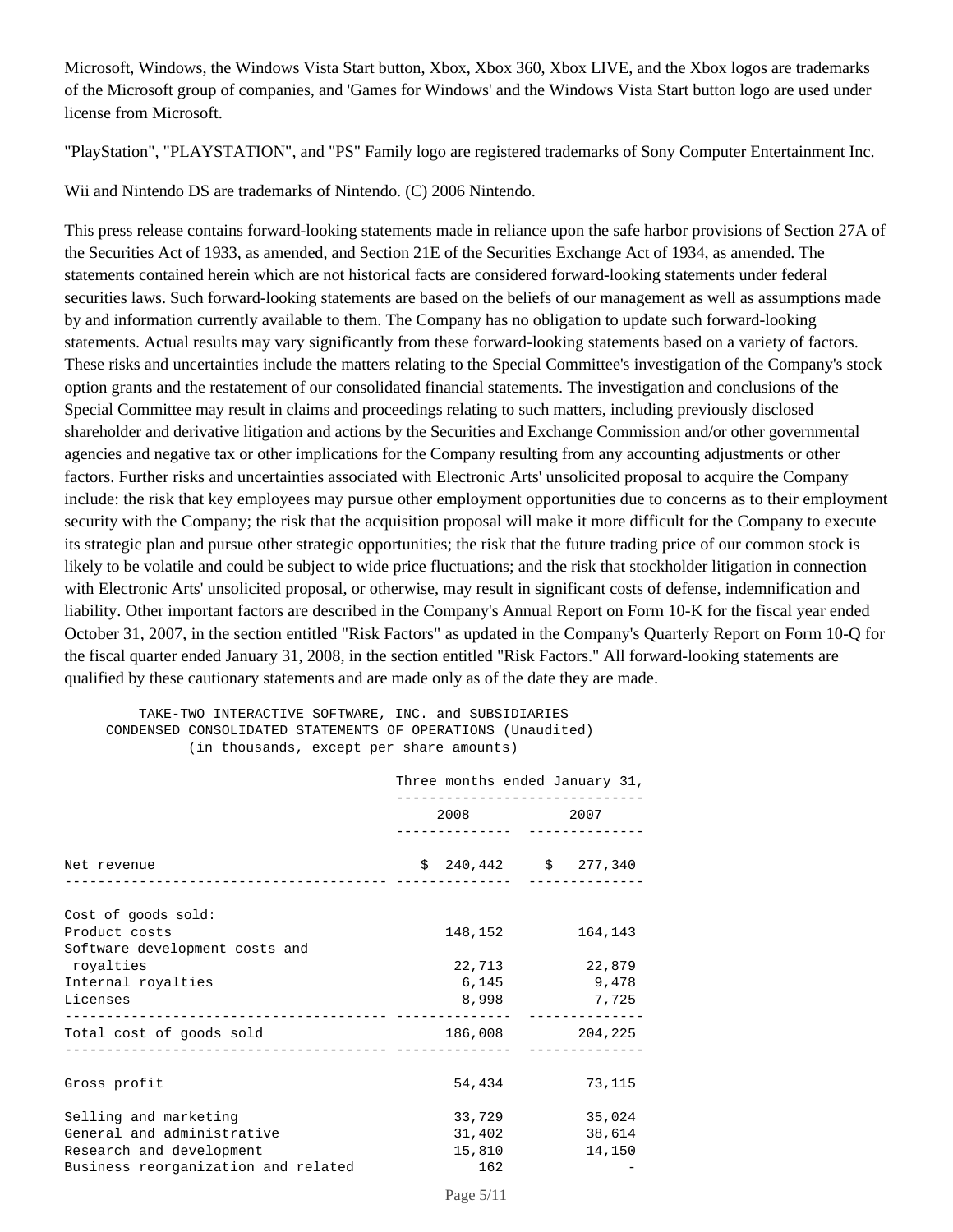Microsoft, Windows, the Windows Vista Start button, Xbox, Xbox 360, Xbox LIVE, and the Xbox logos are trademarks of the Microsoft group of companies, and 'Games for Windows' and the Windows Vista Start button logo are used under license from Microsoft.

"PlayStation", "PLAYSTATION", and "PS" Family logo are registered trademarks of Sony Computer Entertainment Inc.

Wii and Nintendo DS are trademarks of Nintendo. (C) 2006 Nintendo.

This press release contains forward-looking statements made in reliance upon the safe harbor provisions of Section 27A of the Securities Act of 1933, as amended, and Section 21E of the Securities Exchange Act of 1934, as amended. The statements contained herein which are not historical facts are considered forward-looking statements under federal securities laws. Such forward-looking statements are based on the beliefs of our management as well as assumptions made by and information currently available to them. The Company has no obligation to update such forward-looking statements. Actual results may vary significantly from these forward-looking statements based on a variety of factors. These risks and uncertainties include the matters relating to the Special Committee's investigation of the Company's stock option grants and the restatement of our consolidated financial statements. The investigation and conclusions of the Special Committee may result in claims and proceedings relating to such matters, including previously disclosed shareholder and derivative litigation and actions by the Securities and Exchange Commission and/or other governmental agencies and negative tax or other implications for the Company resulting from any accounting adjustments or other factors. Further risks and uncertainties associated with Electronic Arts' unsolicited proposal to acquire the Company include: the risk that key employees may pursue other employment opportunities due to concerns as to their employment security with the Company; the risk that the acquisition proposal will make it more difficult for the Company to execute its strategic plan and pursue other strategic opportunities; the risk that the future trading price of our common stock is likely to be volatile and could be subject to wide price fluctuations; and the risk that stockholder litigation in connection with Electronic Arts' unsolicited proposal, or otherwise, may result in significant costs of defense, indemnification and liability. Other important factors are described in the Company's Annual Report on Form 10-K for the fiscal year ended October 31, 2007, in the section entitled "Risk Factors" as updated in the Company's Quarterly Report on Form 10-Q for the fiscal quarter ended January 31, 2008, in the section entitled "Risk Factors." All forward-looking statements are qualified by these cautionary statements and are made only as of the date they are made.

#### TAKE-TWO INTERACTIVE SOFTWARE, INC. and SUBSIDIARIES CONDENSED CONSOLIDATED STATEMENTS OF OPERATIONS (Unaudited) (in thousands, except per share amounts)

|                                                                                                                        | Three months ended January 31,<br>--------------------- |                                   |  |                            |
|------------------------------------------------------------------------------------------------------------------------|---------------------------------------------------------|-----------------------------------|--|----------------------------|
|                                                                                                                        | 2008                                                    |                                   |  | 2007                       |
| Net revenue<br>---------------------------------                                                                       |                                                         | $$240,442$ $$277,340$             |  |                            |
| Cost of goods sold:<br>Product costs<br>Software development costs and                                                 |                                                         | 148,152                           |  | 164,143                    |
| royalties<br>Internal royalties<br>Licenses                                                                            |                                                         | 22,713<br>6,145<br>8,998          |  | 22,879<br>9,478<br>7,725   |
| Total cost of goods sold                                                                                               |                                                         | 186,008                           |  | 204,225                    |
| Gross profit                                                                                                           |                                                         | 54,434                            |  | 73,115                     |
| Selling and marketing<br>General and administrative<br>Research and development<br>Business reorganization and related |                                                         | 33,729<br>31,402<br>15,810<br>162 |  | 35,024<br>38,614<br>14,150 |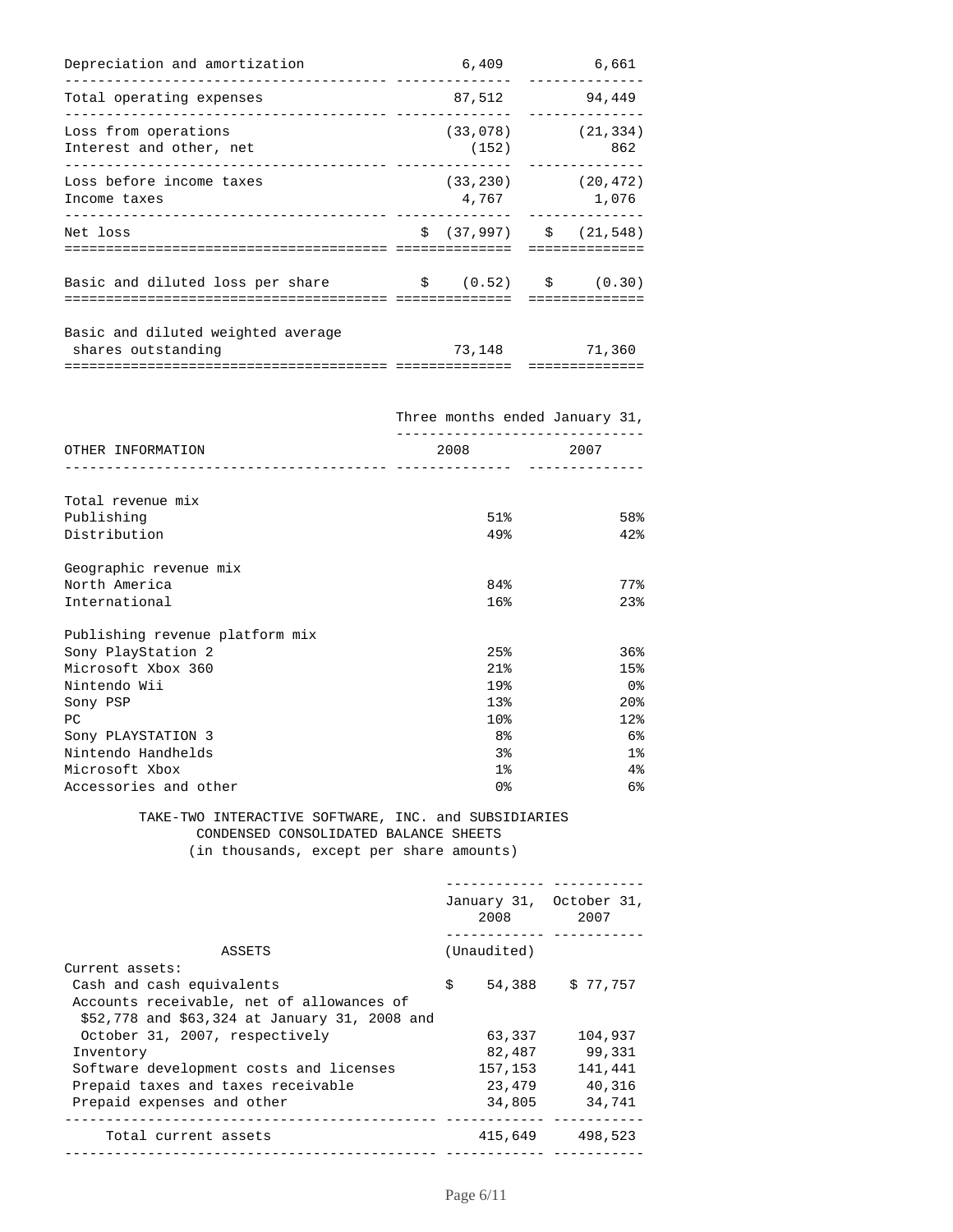| Depreciation and amortization                            | 6,409             | 6,661                            |
|----------------------------------------------------------|-------------------|----------------------------------|
| Total operating expenses                                 | 87,512            | 94,449                           |
| Loss from operations<br>Interest and other, net          | (33,078)<br>(152) | (21, 334)<br>862                 |
| Loss before income taxes<br>Income taxes                 | 4,767             | $(33, 230)$ $(20, 472)$<br>1,076 |
| Net loss                                                 |                   | $\sin(37,997)$ $\sin(21,548)$    |
| Basic and diluted loss per share                         |                   | $\sin(0.52)$ $\sin(0.30)$        |
| Basic and diluted weighted average<br>shares outstanding | 73,148            | 71,360                           |

|                                                          | Three months ended January 31, |                 |  |
|----------------------------------------------------------|--------------------------------|-----------------|--|
| OTHER INFORMATION<br>___________________________________ | 2008<br>-------------          | 2007            |  |
|                                                          |                                |                 |  |
| Total revenue mix                                        |                                |                 |  |
| Publishing                                               | 51%                            | 58%             |  |
| Distribution                                             | 49.8                           | 42%             |  |
| Geographic revenue mix                                   |                                |                 |  |
| North America                                            | 84%                            | 77%             |  |
| International                                            | 16%                            | 23%             |  |
| Publishing revenue platform mix                          |                                |                 |  |
| Sony PlayStation 2                                       | 25%                            | 36%             |  |
| Microsoft Xbox 360                                       | 21%                            | 15%             |  |
| Nintendo Wii                                             | 19%                            | 0%              |  |
| Sony PSP                                                 | 13%                            | 20 <sup>8</sup> |  |
| PC                                                       | 10%                            | 12%             |  |
| Sony PLAYSTATION 3                                       | 8 <sup>°</sup>                 | 6%              |  |
| Nintendo Handhelds                                       | 3 <sup>°</sup>                 | $1\%$           |  |
| Microsoft Xbox                                           | 1 <sub>8</sub>                 | 4%              |  |
| Accessories and other                                    | 0 <sup>°</sup>                 | 6%              |  |
|                                                          |                                |                 |  |

#### TAKE-TWO INTERACTIVE SOFTWARE, INC. and SUBSIDIARIES CONDENSED CONSOLIDATED BALANCE SHEETS (in thousands, except per share amounts)

 ------------ ----------- January 31, October 31, 2008 2007 ------------ ----------- ASSETS (Unaudited) Current assets: Cash and cash equivalents  $\upbeta$  54,388 \$ 77,757 Accounts receivable, net of allowances of \$52,778 and \$63,324 at January 31, 2008 and October 31, 2007, respectively 63,337 104,937 Inventory 82,487 99,331 Software development costs and licenses 157,153 141,441 Prepaid taxes and taxes receivable 23,479 40,316 Prepaid expenses and other 34,805 34,741 --------------------------------------------- ------------ -----------Total current assets 415,649 498,523 --------------------------------------------- ------------ -----------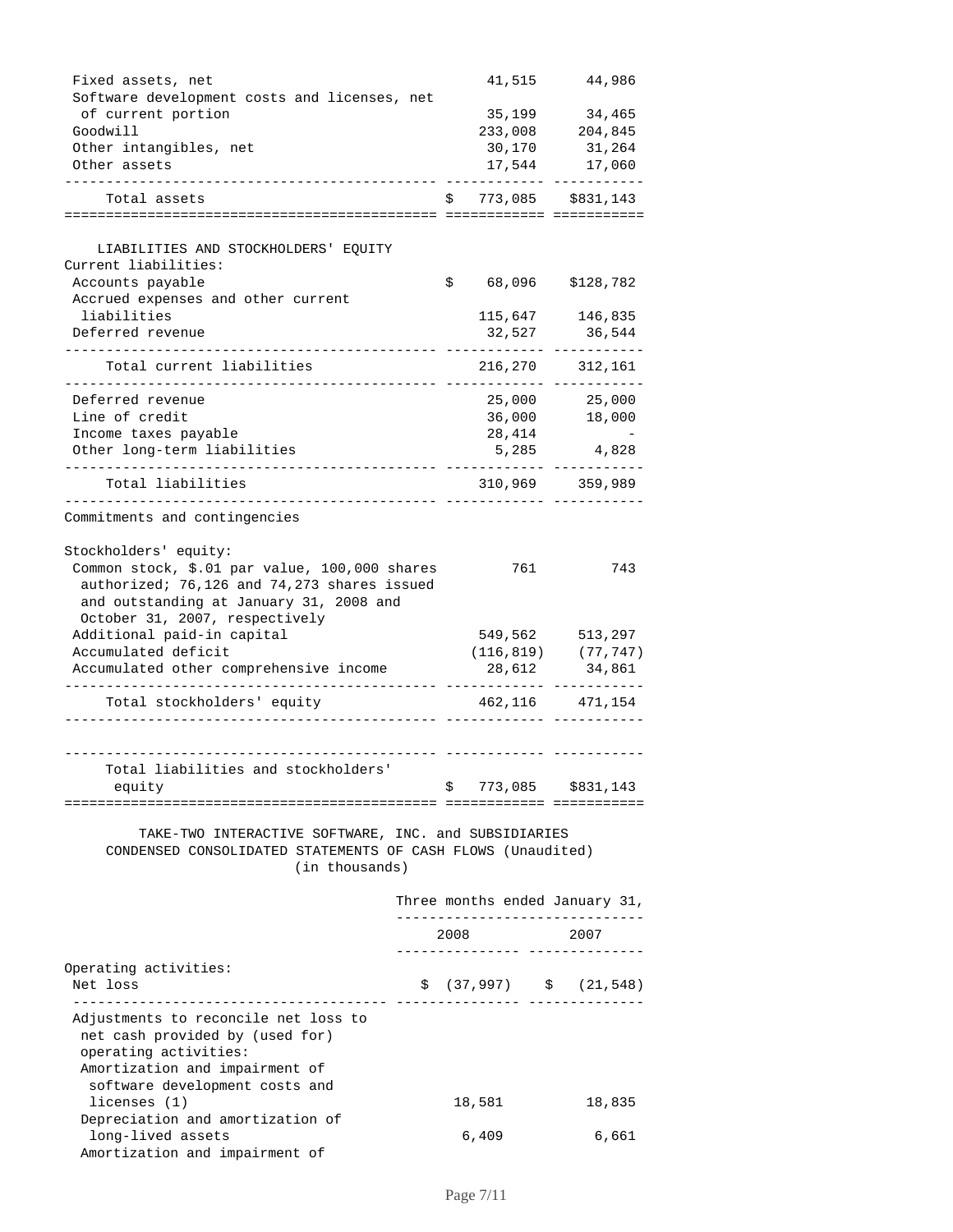| Fixed assets, net                                                       | 41,515                                   | 44,986                   |
|-------------------------------------------------------------------------|------------------------------------------|--------------------------|
| Software development costs and licenses, net                            |                                          |                          |
| of current portion                                                      | 35,199                                   | 34,465                   |
| Goodwill                                                                | 233,008                                  | 204,845                  |
| Other intangibles, net<br>Other assets                                  | 30,170                                   | 31,264                   |
|                                                                         | 17,544                                   | 17,060                   |
| Total assets                                                            | 773,085<br>S                             | \$831,143                |
|                                                                         |                                          |                          |
|                                                                         |                                          |                          |
| LIABILITIES AND STOCKHOLDERS' EQUITY                                    |                                          |                          |
| Current liabilities:                                                    | 68,096                                   |                          |
| Accounts payable<br>Accrued expenses and other current                  | \$                                       | \$128,782                |
| liabilities                                                             |                                          | 115,647 146,835          |
| Deferred revenue                                                        | 32,527                                   | 36,544                   |
|                                                                         |                                          |                          |
| Total current liabilities                                               | 216,270                                  | 312,161                  |
| Deferred revenue                                                        | 25,000                                   | 25,000                   |
| Line of credit                                                          | 36,000                                   | 18,000                   |
| Income taxes payable                                                    | 28,414                                   |                          |
| Other long-term liabilities                                             | 5,285                                    | 4,828                    |
|                                                                         |                                          |                          |
| Total liabilities                                                       |                                          | 310,969 359,989          |
| Commitments and contingencies                                           |                                          |                          |
| Stockholders' equity:                                                   |                                          |                          |
| Common stock, \$.01 par value, 100,000 shares                           | 761                                      | 743                      |
| authorized; 76,126 and 74,273 shares issued                             |                                          |                          |
| and outstanding at January 31, 2008 and                                 |                                          |                          |
| October 31, 2007, respectively                                          |                                          |                          |
| Additional paid-in capital                                              | 549,562                                  | 513,297                  |
| Accumulated deficit                                                     |                                          | $(116, 819)$ $(77, 747)$ |
| Accumulated other comprehensive income                                  | 28,612                                   | 34,861                   |
|                                                                         |                                          |                          |
| Total stockholders' equity                                              |                                          | 462,116 471,154          |
|                                                                         |                                          |                          |
| Total liabilities and stockholders'                                     |                                          |                          |
| equity                                                                  | \$                                       | 773,085 \$831,143        |
|                                                                         |                                          |                          |
| TAKE-TWO INTERACTIVE SOFTWARE, INC. and SUBSIDIARIES                    |                                          |                          |
| CONDENSED CONSOLIDATED STATEMENTS OF CASH FLOWS (Unaudited)             |                                          |                          |
| (in thousands)                                                          |                                          |                          |
|                                                                         | Three months ended January 31,           |                          |
|                                                                         | --------------------------               |                          |
|                                                                         | 2008<br>---------------- --------------- | 2007                     |
| Operating activities:                                                   |                                          |                          |
| Net loss                                                                | $$ (37,997)$ $$ (21,548)$                |                          |
| --------------------                                                    |                                          |                          |
| Adjustments to reconcile net loss to<br>net cash provided by (used for) |                                          |                          |
| operating activities:                                                   |                                          |                          |
| Amortization and impairment of                                          |                                          |                          |
| software development costs and                                          |                                          |                          |
| licenses (1)                                                            | 18,581                                   | 18,835                   |
| Depreciation and amortization of                                        |                                          |                          |
| long-lived assets                                                       | 6,409                                    | 6,661                    |
| Amortization and impairment of                                          |                                          |                          |
|                                                                         |                                          |                          |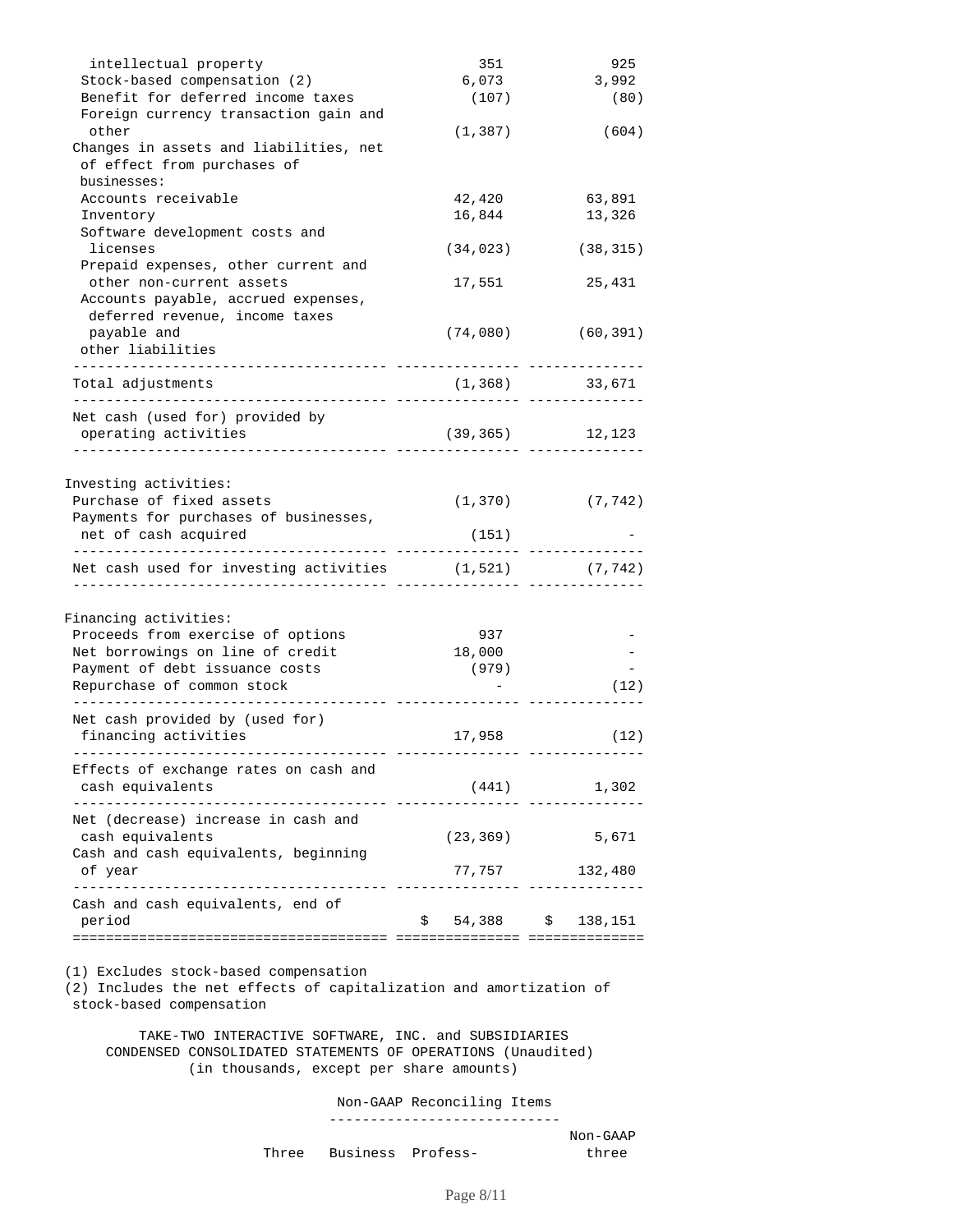| intellectual property<br>Stock-based compensation (2)<br>Benefit for deferred income taxes<br>Foreign currency transaction gain and                                                               | 351<br>6,073<br>(107)  | 925<br>3,992<br>(80)              |
|---------------------------------------------------------------------------------------------------------------------------------------------------------------------------------------------------|------------------------|-----------------------------------|
| other<br>Changes in assets and liabilities, net<br>of effect from purchases of<br>businesses:                                                                                                     | (1, 387)               | (604)                             |
| Accounts receivable                                                                                                                                                                               | 42,420                 | 63,891                            |
| Inventory                                                                                                                                                                                         | 16,844                 | 13,326                            |
| Software development costs and                                                                                                                                                                    |                        |                                   |
| licenses                                                                                                                                                                                          | (34, 023)              | (38, 315)                         |
| Prepaid expenses, other current and                                                                                                                                                               |                        |                                   |
| other non-current assets                                                                                                                                                                          | 17,551                 | 25,431                            |
| Accounts payable, accrued expenses,                                                                                                                                                               |                        |                                   |
| deferred revenue, income taxes                                                                                                                                                                    |                        |                                   |
| payable and                                                                                                                                                                                       | (74,080)               | (60, 391)                         |
| other liabilities                                                                                                                                                                                 |                        |                                   |
| Total adjustments                                                                                                                                                                                 | (1, 368)               | 33,671                            |
| . _ _ _ _ _ _ _ _ _ _ _ _ _ _ _ _ _ _<br>. . <u>.</u> .                                                                                                                                           |                        |                                   |
| Net cash (used for) provided by                                                                                                                                                                   |                        |                                   |
| operating activities                                                                                                                                                                              |                        | $(39, 365)$ 12, 123               |
| Investing activities:<br>Purchase of fixed assets<br>Payments for purchases of businesses,<br>net of cash acquired                                                                                | (1, 370)<br>(151)      | (7, 742)                          |
| Net cash used for investing activities                                                                                                                                                            | (1, 521)               | (7, 742)                          |
| Financing activities:<br>Proceeds from exercise of options<br>Net borrowings on line of credit<br>Payment of debt issuance costs<br>Repurchase of common stock<br>Net cash provided by (used for) | 937<br>18,000<br>(979) | (12)                              |
| financing activities                                                                                                                                                                              | 17,958                 | (12)                              |
| Effects of exchange rates on cash and<br>cash equivalents<br>------------- ------------<br>-------------                                                                                          | (441)                  | 1,302                             |
| Net (decrease) increase in cash and<br>cash equivalents<br>Cash and cash equivalents, beginning                                                                                                   | (23, 369)              | 5,671                             |
| of year                                                                                                                                                                                           |                        | 77,757 132,480                    |
| ------------------------------- ------<br>Cash and cash equivalents, end of<br>period                                                                                                             | \$                     | ---- -------<br>54,388 \$ 138,151 |
| (1) Excludes stock-based compensation<br>(2) Includes the net effects of capitalization and amortization of<br>stock-based compensation<br>THERE ARTIZE CORPUSE                                   | <b>TMO</b>             |                                   |

 TAKE-TWO INTERACTIVE SOFTWARE, INC. and SUBSIDIARIES CONDENSED CONSOLIDATED STATEMENTS OF OPERATIONS (Unaudited) (in thousands, except per share amounts)

Non-GAAP Reconciling Items

----------------------------

|  |                         | Non-GAAP |  |
|--|-------------------------|----------|--|
|  | Three Business Profess- | three    |  |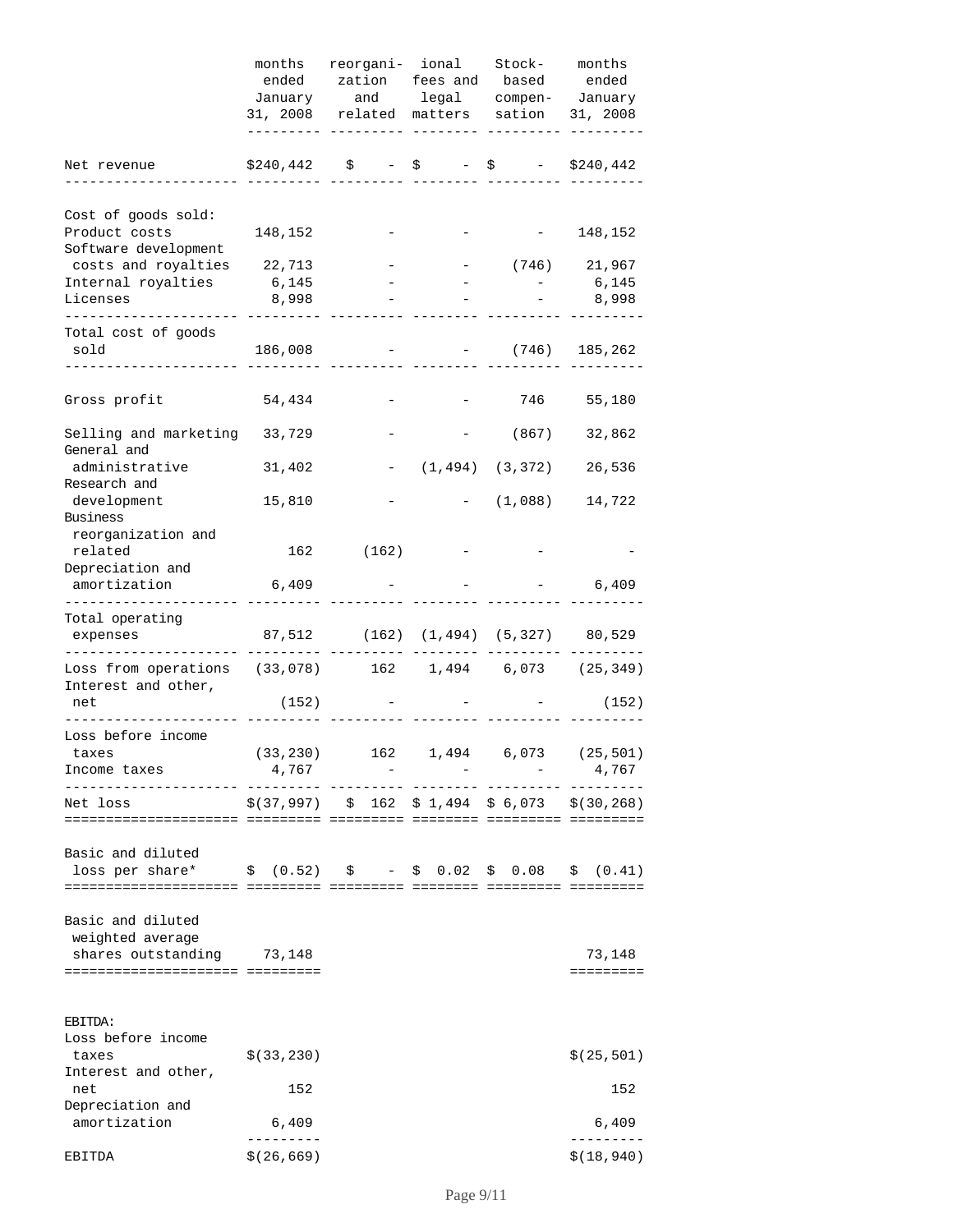|                                                                                                                                                                                                                                                                                                                                                              | months         | reorgani- ional<br>ended zation fees and based ended                                              | Stock- months                                                                   |                                               |
|--------------------------------------------------------------------------------------------------------------------------------------------------------------------------------------------------------------------------------------------------------------------------------------------------------------------------------------------------------------|----------------|---------------------------------------------------------------------------------------------------|---------------------------------------------------------------------------------|-----------------------------------------------|
|                                                                                                                                                                                                                                                                                                                                                              |                | January and legal compen- January<br>31, 2008 related matters sation 31, 2008                     |                                                                                 |                                               |
| Net revenue                                                                                                                                                                                                                                                                                                                                                  | \$240,442      |                                                                                                   | $\begin{array}{ccccccc}\n\xi & - & \xi & - & \xi & - & \xi240,442\n\end{array}$ |                                               |
| Cost of goods sold:                                                                                                                                                                                                                                                                                                                                          |                |                                                                                                   |                                                                                 |                                               |
| Product costs<br>Software development                                                                                                                                                                                                                                                                                                                        | 148,152        |                                                                                                   |                                                                                 | $-148,152$                                    |
| costs and royalties 22,713                                                                                                                                                                                                                                                                                                                                   |                |                                                                                                   | $-$ (746) 21,967                                                                |                                               |
| Internal royalties<br>Licenses                                                                                                                                                                                                                                                                                                                               | 6,145<br>8,998 |                                                                                                   |                                                                                 | $-6,145$<br>8,998                             |
| Total cost of goods<br>sold                                                                                                                                                                                                                                                                                                                                  | 186,008        |                                                                                                   | $-$ (746) 185,262                                                               |                                               |
| Gross profit                                                                                                                                                                                                                                                                                                                                                 | 54,434         |                                                                                                   | 746                                                                             | 55,180                                        |
| Selling and marketing 33,729<br>General and                                                                                                                                                                                                                                                                                                                  |                |                                                                                                   | (867)                                                                           | 32,862                                        |
| administrative                                                                                                                                                                                                                                                                                                                                               | 31,402         |                                                                                                   | $(1, 494)$ $(3, 372)$                                                           | 26,536                                        |
| Research and<br>development<br>Business                                                                                                                                                                                                                                                                                                                      | 15,810         |                                                                                                   | $-$ (1,088)                                                                     | 14,722                                        |
| reorganization and<br>related                                                                                                                                                                                                                                                                                                                                |                | 162 (162)                                                                                         |                                                                                 |                                               |
| Depreciation and<br>amortization                                                                                                                                                                                                                                                                                                                             | 6,409          |                                                                                                   |                                                                                 | 6,409                                         |
| Total operating<br>expenses                                                                                                                                                                                                                                                                                                                                  |                | 87,512 (162) (1,494) (5,327) 80,529                                                               |                                                                                 |                                               |
| Loss from operations (33,078) 162 1,494 6,073 (25,349)<br>Interest and other,<br>net                                                                                                                                                                                                                                                                         |                |                                                                                                   |                                                                                 | (152)                                         |
|                                                                                                                                                                                                                                                                                                                                                              | (152)          |                                                                                                   |                                                                                 |                                               |
| Loss before income<br>taxes<br>Income taxes                                                                                                                                                                                                                                                                                                                  | 4,767          |                                                                                                   |                                                                                 | $(33, 230)$ 162 1,494 6,073 (25,501)<br>4,767 |
| Net loss                                                                                                                                                                                                                                                                                                                                                     |                | $\frac{1}{2}(37,997)$ $\frac{1}{2}(162, \frac{1}{2}1,494, \frac{1}{2}6,073, \frac{1}{2}(30,268))$ |                                                                                 |                                               |
| Basic and diluted<br>loss per share* $\qquad \qquad$ \$ (0.52) $\qquad \qquad$ $\qquad$ $\qquad$ $\qquad$ $\qquad$ $\qquad$ $\qquad$ $\qquad$ $\qquad$ $\qquad$ $\qquad$ $\qquad$ $\qquad$ $\qquad$ $\qquad$ $\qquad$ $\qquad$ $\qquad$ $\qquad$ $\qquad$ $\qquad$ $\qquad$ $\qquad$ $\qquad$ $\qquad$ $\qquad$ $\qquad$ $\qquad$ $\qquad$ $\qquad$ $\qquad$ |                |                                                                                                   |                                                                                 |                                               |
| Basic and diluted<br>weighted average<br>shares outstanding 73,148<br>===================================                                                                                                                                                                                                                                                    |                |                                                                                                   |                                                                                 | 73,148<br>=========                           |
| EBITDA:<br>Loss before income<br>taxes<br>Interest and other,                                                                                                                                                                                                                                                                                                | \$ (33, 230)   |                                                                                                   |                                                                                 | \$(25, 501)                                   |
| net<br>Depreciation and<br>amortization                                                                                                                                                                                                                                                                                                                      | 152<br>6,409   |                                                                                                   |                                                                                 | 152<br>6,409                                  |
|                                                                                                                                                                                                                                                                                                                                                              | \$(26, 669)    |                                                                                                   |                                                                                 | \$(18, 940)                                   |
| EBITDA                                                                                                                                                                                                                                                                                                                                                       |                |                                                                                                   |                                                                                 |                                               |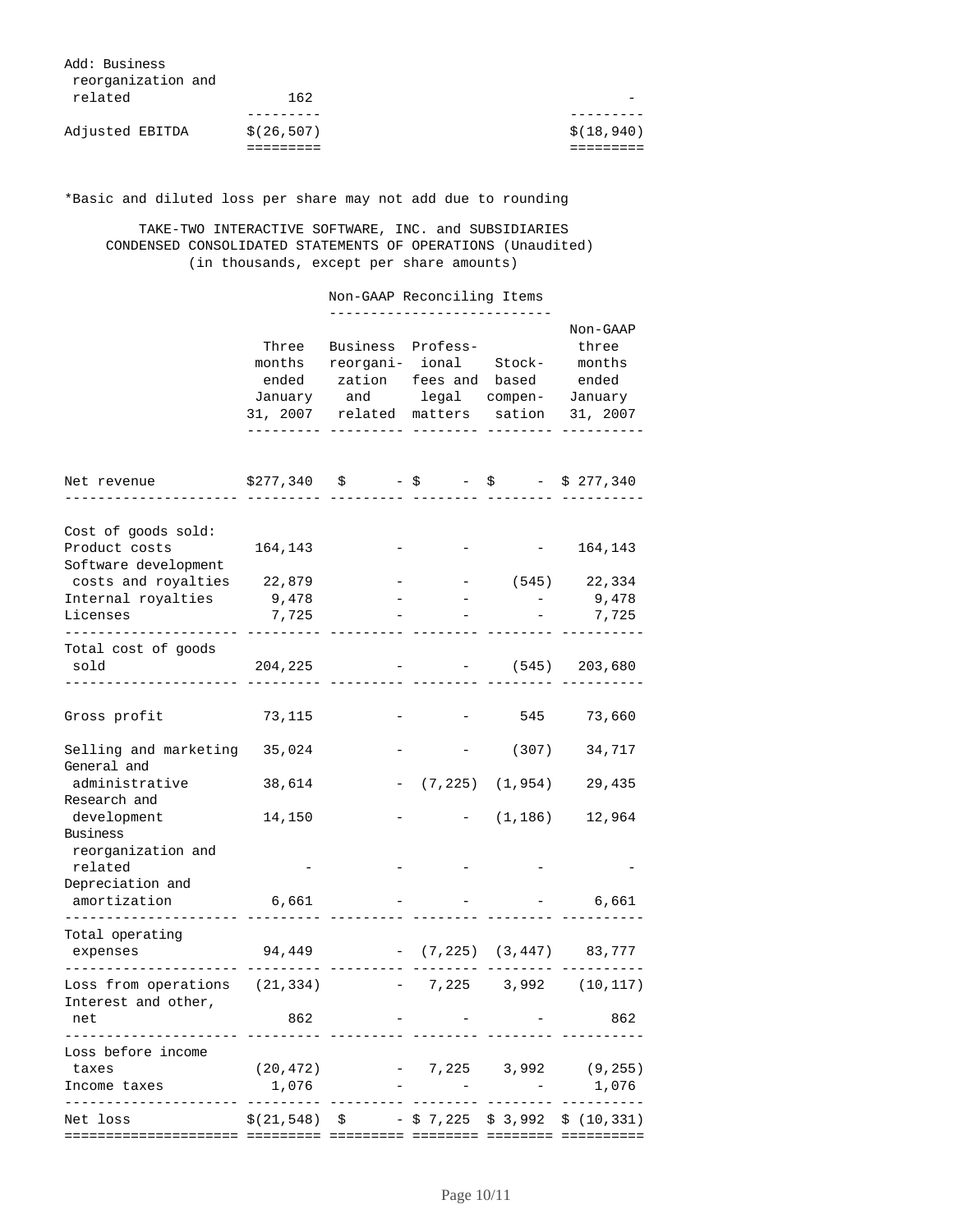| Add: Business<br>reorganization and |             |             |
|-------------------------------------|-------------|-------------|
| related                             | 162         |             |
|                                     |             |             |
| Adjusted EBITDA                     | \$(26, 507) | \$(18, 940) |
|                                     |             |             |

\*Basic and diluted loss per share may not add due to rounding

 TAKE-TWO INTERACTIVE SOFTWARE, INC. and SUBSIDIARIES CONDENSED CONSOLIDATED STATEMENTS OF OPERATIONS (Unaudited) (in thousands, except per share amounts)

|                                                              |                                        | Non-GAAP Reconciling Items                                                                                                                                                      |            |                       |                                 |
|--------------------------------------------------------------|----------------------------------------|---------------------------------------------------------------------------------------------------------------------------------------------------------------------------------|------------|-----------------------|---------------------------------|
|                                                              | Three                                  | Business Profess-<br>months reorgani- ional Stock- months<br>ended zation fees and based ended<br>January and legal compen- January<br>31, 2007 related matters sation 31, 2007 |            |                       | Non-GAAP<br>three               |
| Net revenue                                                  | $$277,340 \t$ - $ - $ - $ - $ 277,340$ |                                                                                                                                                                                 |            |                       |                                 |
| Cost of goods sold:<br>Product costs<br>Software development | 164,143                                |                                                                                                                                                                                 |            |                       | $-164, 143$                     |
| costs and royalties 22,879<br>Internal royalties             | 9,478                                  |                                                                                                                                                                                 |            | $\sim$                | $-$ (545) 22,334<br>$9,478$     |
| Licenses                                                     | 7,725                                  |                                                                                                                                                                                 |            |                       | 7,725                           |
|                                                              |                                        |                                                                                                                                                                                 |            |                       |                                 |
| Total cost of goods<br>sold                                  | 204,225                                |                                                                                                                                                                                 |            |                       | $-$ (545) 203,680               |
| Gross profit                                                 | 73,115                                 |                                                                                                                                                                                 |            |                       | 545 73,660                      |
| Selling and marketing 35,024<br>General and                  |                                        |                                                                                                                                                                                 |            | (307)                 | 34,717                          |
| administrative<br>Research and                               | 38,614                                 |                                                                                                                                                                                 |            | $(7, 225)$ $(1, 954)$ | 29,435                          |
| development<br>Business                                      | 14,150                                 |                                                                                                                                                                                 |            | (1, 186)              | 12,964                          |
| reorganization and<br>related<br>Depreciation and            |                                        |                                                                                                                                                                                 |            |                       |                                 |
| amortization                                                 | 6,661                                  |                                                                                                                                                                                 |            |                       | 6,661                           |
| . _ _ _ _ _ _ _ _ _ _<br>Total operating<br>expenses         | 94,449                                 |                                                                                                                                                                                 |            |                       | $-$ (7,225) (3,447) 83,777      |
| Loss from operations (21,334)                                |                                        |                                                                                                                                                                                 |            |                       | 7,225 3,992 (10,117)            |
| Interest and other,<br>net                                   | 862                                    |                                                                                                                                                                                 |            |                       | 862                             |
| Loss before income<br>taxes<br>Income taxes                  | (20, 472)<br>1,076                     |                                                                                                                                                                                 |            |                       | $-7,225$ 3,992 (9,255)<br>1,076 |
| Net loss                                                     | \$(21,548)                             | \$                                                                                                                                                                              | - \$ 7,225 | \$ 3,992              | \$(10, 331)                     |
|                                                              |                                        |                                                                                                                                                                                 |            |                       |                                 |